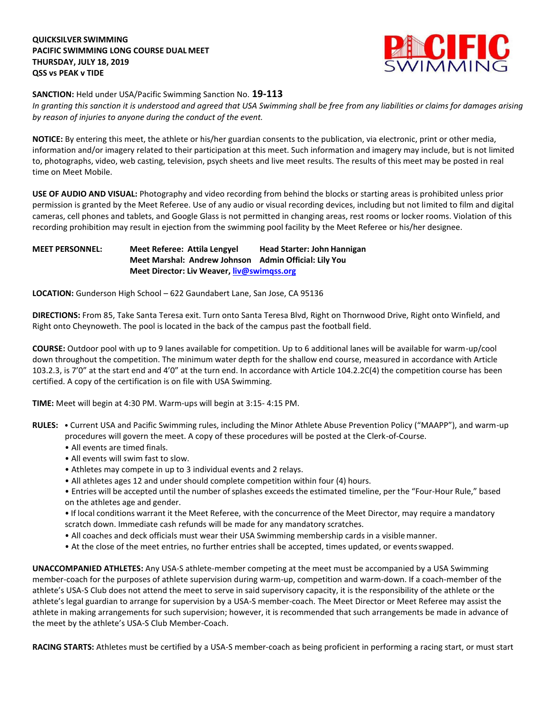## **QUICKSILVER SWIMMING PACIFIC SWIMMING LONG COURSE DUAL MEET THURSDAY, JULY 18, 2019 QSS vs PEAK v TIDE**



## **SANCTION:** Held under USA/Pacific Swimming Sanction No. **19-113**

*In granting this sanction it is understood and agreed that USA Swimming shall be free from any liabilities or claims for damages arising by reason of injuries to anyone during the conduct of the event.*

**NOTICE:** By entering this meet, the athlete or his/her guardian consents to the publication, via electronic, print or other media, information and/or imagery related to their participation at this meet. Such information and imagery may include, but is not limited to, photographs, video, web casting, television, psych sheets and live meet results. The results of this meet may be posted in real time on Meet Mobile.

**USE OF AUDIO AND VISUAL:** Photography and video recording from behind the blocks or starting areas is prohibited unless prior permission is granted by the Meet Referee. Use of any audio or visual recording devices, including but not limited to film and digital cameras, cell phones and tablets, and Google Glass is not permitted in changing areas, rest rooms or locker rooms. Violation of this recording prohibition may result in ejection from the swimming pool facility by the Meet Referee or his/her designee.

## **MEET PERSONNEL: Meet Referee: Attila Lengyel Head Starter: John Hannigan Meet Marshal: Andrew Johnson Admin Official: Lily You Meet Director: Liv Weaver, [liv@swimqss.org](mailto:liv@swimqss.org)**

**LOCATION:** Gunderson High School – 622 Gaundabert Lane, San Jose, CA 95136

**DIRECTIONS:** From 85, Take Santa Teresa exit. Turn onto Santa Teresa Blvd, Right on Thornwood Drive, Right onto Winfield, and Right onto Cheynoweth. The pool is located in the back of the campus past the football field.

**COURSE:** Outdoor pool with up to 9 lanes available for competition. Up to 6 additional lanes will be available for warm-up/cool down throughout the competition. The minimum water depth for the shallow end course, measured in accordance with Article 103.2.3, is 7'0" at the start end and 4'0" at the turn end. In accordance with Article 104.2.2C(4) the competition course has been certified. A copy of the certification is on file with USA Swimming.

**TIME:** Meet will begin at 4:30 PM. Warm-ups will begin at 3:15- 4:15 PM.

- **RULES:**  Current USA and Pacific Swimming rules, including the Minor Athlete Abuse Prevention Policy ("MAAPP"), and warm-up procedures will govern the meet. A copy of these procedures will be posted at the Clerk-of-Course.
	- All events are timed finals.
	- All events will swim fast to slow.
	- Athletes may compete in up to 3 individual events and 2 relays.
	- All athletes ages 12 and under should complete competition within four (4) hours.
	- Entries will be accepted until the number ofsplashes exceedsthe estimated timeline, per the "Four-Hour Rule," based on the athletes age and gender.

• If local conditions warrant it the Meet Referee, with the concurrence of the Meet Director, may require a mandatory scratch down. Immediate cash refunds will be made for any mandatory scratches.

- All coaches and deck officials must wear their USA Swimming membership cards in a visible manner.
- At the close of the meet entries, no further entries shall be accepted, times updated, or events swapped.

**UNACCOMPANIED ATHLETES:** Any USA-S athlete-member competing at the meet must be accompanied by a USA Swimming member-coach for the purposes of athlete supervision during warm-up, competition and warm-down. If a coach-member of the athlete's USA-S Club does not attend the meet to serve in said supervisory capacity, it is the responsibility of the athlete or the athlete's legal guardian to arrange for supervision by a USA-S member-coach. The Meet Director or Meet Referee may assist the athlete in making arrangements for such supervision; however, it is recommended that such arrangements be made in advance of the meet by the athlete's USA-S Club Member-Coach.

**RACING STARTS:** Athletes must be certified by a USA-S member-coach as being proficient in performing a racing start, or must start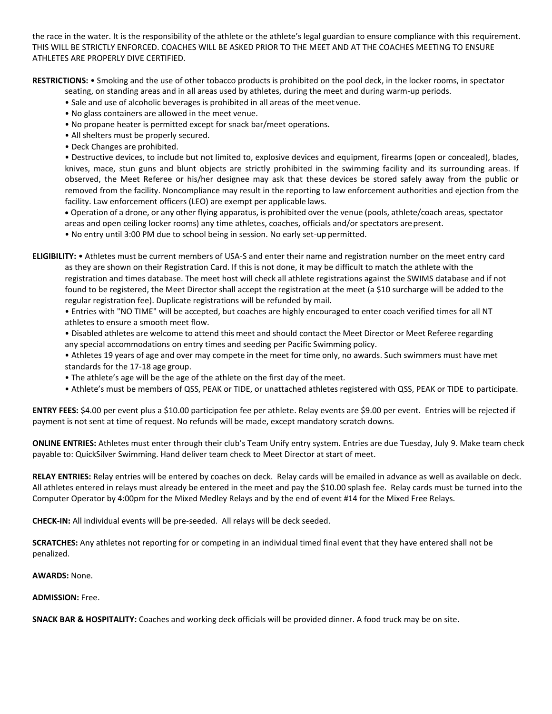the race in the water. It is the responsibility of the athlete or the athlete's legal guardian to ensure compliance with this requirement. THIS WILL BE STRICTLY ENFORCED. COACHES WILL BE ASKED PRIOR TO THE MEET AND AT THE COACHES MEETING TO ENSURE ATHLETES ARE PROPERLY DIVE CERTIFIED.

**RESTRICTIONS:** • Smoking and the use of other tobacco products is prohibited on the pool deck, in the locker rooms, in spectator

seating, on standing areas and in all areas used by athletes, during the meet and during warm-up periods.

- Sale and use of alcoholic beverages is prohibited in all areas of the meet venue.
- No glass containers are allowed in the meet venue.
- No propane heater is permitted except for snack bar/meet operations.
- All shelters must be properly secured.
- Deck Changes are prohibited.

• Destructive devices, to include but not limited to, explosive devices and equipment, firearms (open or concealed), blades, knives, mace, stun guns and blunt objects are strictly prohibited in the swimming facility and its surrounding areas. If observed, the Meet Referee or his/her designee may ask that these devices be stored safely away from the public or removed from the facility. Noncompliance may result in the reporting to law enforcement authorities and ejection from the facility. Law enforcement officers (LEO) are exempt per applicable laws.

 Operation of a drone, or any other flying apparatus, is prohibited over the venue (pools, athlete/coach areas, spectator areas and open ceiling locker rooms) any time athletes, coaches, officials and/or spectators arepresent.

• No entry until 3:00 PM due to school being in session. No early set-up permitted.

**ELIGIBILITY:** • Athletes must be current members of USA-S and enter their name and registration number on the meet entry card as they are shown on their Registration Card. If this is not done, it may be difficult to match the athlete with the registration and times database. The meet host will check all athlete registrations against the SWIMS database and if not found to be registered, the Meet Director shall accept the registration at the meet (a \$10 surcharge will be added to the regular registration fee). Duplicate registrations will be refunded by mail.

• Entries with "NO TIME" will be accepted, but coaches are highly encouraged to enter coach verified times for all NT athletes to ensure a smooth meet flow.

• Disabled athletes are welcome to attend this meet and should contact the Meet Director or Meet Referee regarding any special accommodations on entry times and seeding per Pacific Swimming policy.

• Athletes 19 years of age and over may compete in the meet for time only, no awards. Such swimmers must have met standards for the 17-18 age group.

- The athlete's age will be the age of the athlete on the first day of themeet.
- Athlete's must be members of QSS, PEAK or TIDE, or unattached athletes registered with QSS, PEAK or TIDE to participate.

**ENTRY FEES:** \$4.00 per event plus a \$10.00 participation fee per athlete. Relay events are \$9.00 per event. Entries will be rejected if payment is not sent at time of request. No refunds will be made, except mandatory scratch downs.

**ONLINE ENTRIES:** Athletes must enter through their club's Team Unify entry system. Entries are due Tuesday, July 9. Make team check payable to: QuickSilver Swimming. Hand deliver team check to Meet Director at start of meet.

**RELAY ENTRIES:** Relay entries will be entered by coaches on deck. Relay cards will be emailed in advance as well as available on deck. All athletes entered in relays must already be entered in the meet and pay the \$10.00 splash fee. Relay cards must be turned into the Computer Operator by 4:00pm for the Mixed Medley Relays and by the end of event #14 for the Mixed Free Relays.

**CHECK-IN:** All individual events will be pre-seeded. All relays will be deck seeded.

**SCRATCHES:** Any athletes not reporting for or competing in an individual timed final event that they have entered shall not be penalized.

**AWARDS:** None.

**ADMISSION:** Free.

**SNACK BAR & HOSPITALITY:** Coaches and working deck officials will be provided dinner. A food truck may be on site.